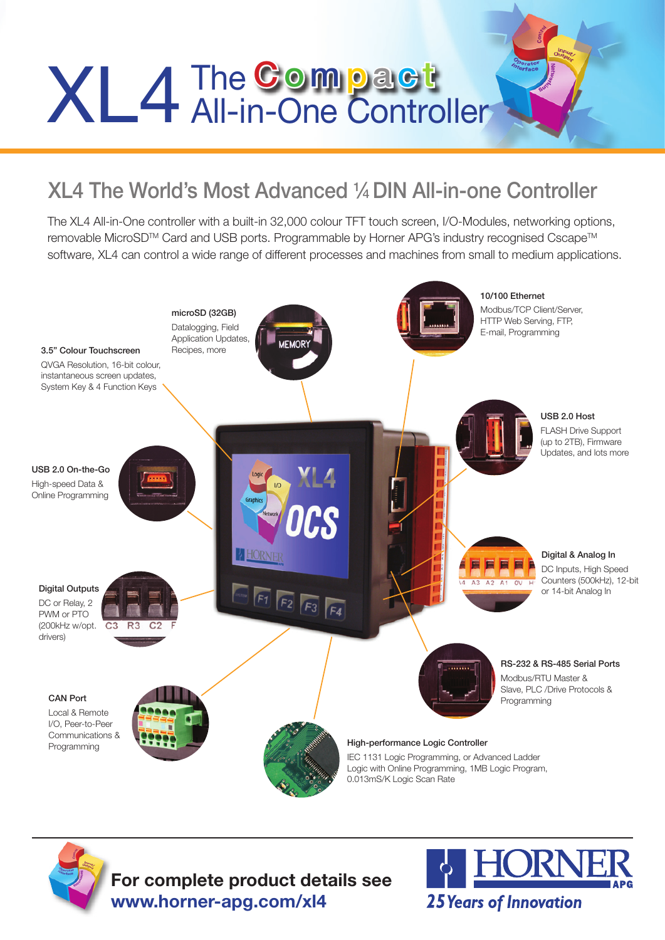# XL4 The Compact Compact

### XL4 The World's Most Advanced 1 ⁄4 DIN All-in-one Controller

The XL4 All-in-One controller with a built-in 32,000 colour TFT touch screen, I/O-Modules, networking options, removable MicroSD™ Card and USB ports. Programmable by Horner APG's industry recognised Cscape™ software, XL4 can control a wide range of different processes and machines from small to medium applications.





**For complete product details see www.horner-apg.com/xl4**